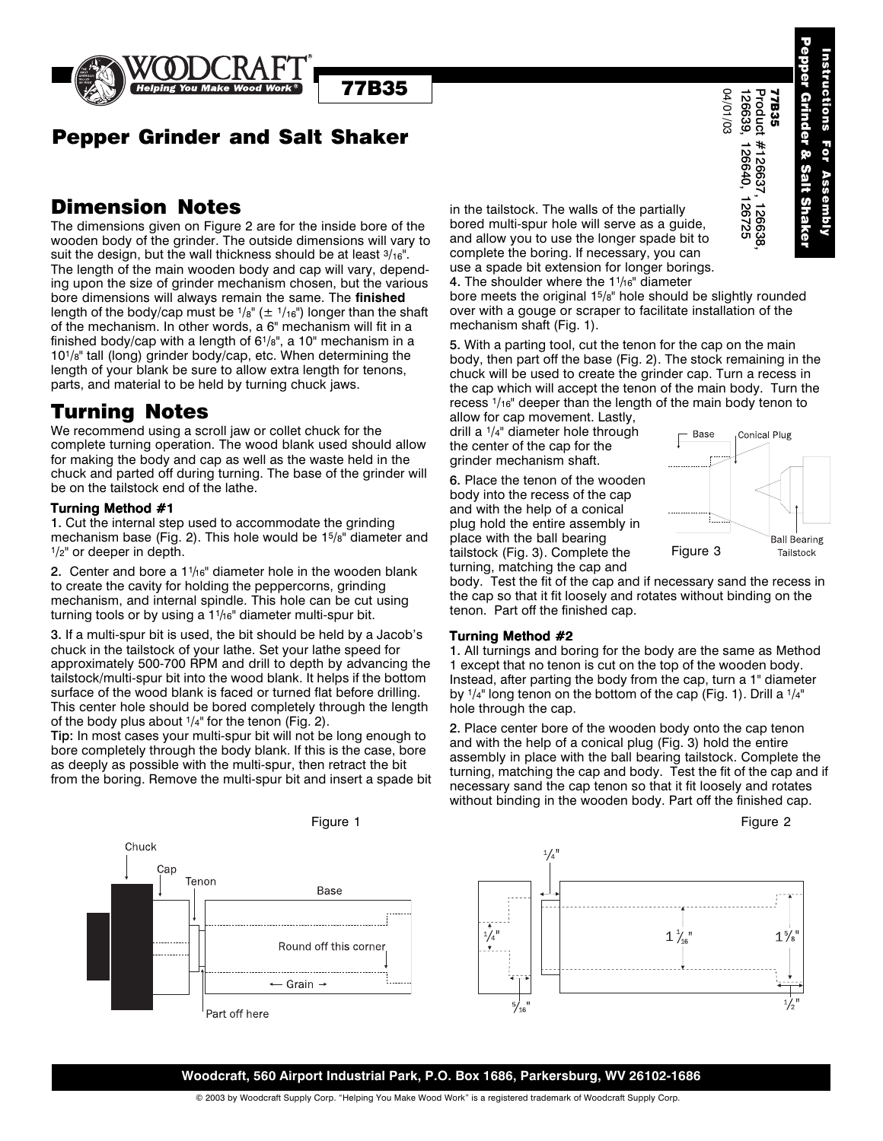

# Pepper Grinder and Salt Shaker

77B35

## Dimension Notes

The dimensions given on Figure 2 are for the inside bore of the wooden body of the grinder. The outside dimensions will vary to suit the design, but the wall thickness should be at least  $3/16$ ". The length of the main wooden body and cap will vary, depending upon the size of grinder mechanism chosen, but the various bore dimensions will always remain the same. The **finished** length of the body/cap must be  $1/8$ " ( $\pm 1/16$ ") longer than the shaft of the mechanism. In other words, a 6" mechanism will fit in a finished body/cap with a length of 61/8", a 10" mechanism in a 101/8" tall (long) grinder body/cap, etc. When determining the length of your blank be sure to allow extra length for tenons, parts, and material to be held by turning chuck jaws.

## Turning Notes

We recommend using a scroll jaw or collet chuck for the complete turning operation. The wood blank used should allow for making the body and cap as well as the waste held in the chuck and parted off during turning. The base of the grinder will be on the tailstock end of the lathe.

#### Turning Method #1

1. Cut the internal step used to accommodate the grinding mechanism base (Fig. 2). This hole would be 15/8" diameter and  $1/2$ " or deeper in depth.

2. Center and bore a  $11/16"$  diameter hole in the wooden blank to create the cavity for holding the peppercorns, grinding mechanism, and internal spindle. This hole can be cut using turning tools or by using a  $1\frac{1}{6}$ " diameter multi-spur bit.

3. If a multi-spur bit is used, the bit should be held by a Jacob's chuck in the tailstock of your lathe. Set your lathe speed for approximately 500-700 RPM and drill to depth by advancing the tailstock/multi-spur bit into the wood blank. It helps if the bottom surface of the wood blank is faced or turned flat before drilling. This center hole should be bored completely through the length of the body plus about 1/4" for the tenon (Fig. 2).

Tip: In most cases your multi-spur bit will not be long enough to bore completely through the body blank. If this is the case, bore as deeply as possible with the multi-spur, then retract the bit from the boring. Remove the multi-spur bit and insert a spade bit in the tailstock. The walls of the partially bored multi-spur hole will serve as a guide, and allow you to use the longer spade bit to complete the boring. If necessary, you can use a spade bit extension for longer borings. 4. The shoulder where the  $11/16$ " diameter

bore meets the original 15/8" hole should be slightly rounded over with a gouge or scraper to facilitate installation of the mechanism shaft (Fig. 1).

5. With a parting tool, cut the tenon for the cap on the main body, then part off the base (Fig. 2). The stock remaining in the chuck will be used to create the grinder cap. Turn a recess in the cap which will accept the tenon of the main body. Turn the recess 1/16" deeper than the length of the main body tenon to allow for cap movement. Lastly,

drill a 1/4" diameter hole through the center of the cap for the grinder mechanism shaft.

6. Place the tenon of the wooden body into the recess of the cap and with the help of a conical plug hold the entire assembly in place with the ball bearing tailstock (Fig. 3). Complete the turning, matching the cap and



body. Test the fit of the cap and if necessary sand the recess in the cap so that it fit loosely and rotates without binding on the tenon. Part off the finished cap.

#### Turning Method #2

1. All turnings and boring for the body are the same as Method 1 except that no tenon is cut on the top of the wooden body. Instead, after parting the body from the cap, turn a 1" diameter by  $1/4$ " long tenon on the bottom of the cap (Fig. 1). Drill a  $1/4$ " hole through the cap.

2. Place center bore of the wooden body onto the cap tenon and with the help of a conical plug (Fig. 3) hold the entire assembly in place with the ball bearing tailstock. Complete the turning, matching the cap and body. Test the fit of the cap and if necessary sand the cap tenon so that it fit loosely and rotates without binding in the wooden body. Part off the finished cap. **Figure 1**<br> **Example 1** and the ballstock. The walls of the partially<br>
in the tallstock. The walls of the partially<br>
in since the bord of the barristop will sary to and allow you to use the longer space bit to<br>
in mension



### **Woodcraft, 560 Airport Industrial Park, P.O. Box 1686, Parkersburg, WV 26102-1686**

© 2003 by Woodcraft Supply Corp. "Helping You Make Wood Work" is a registered trademark of Woodcraft Supply Corp.